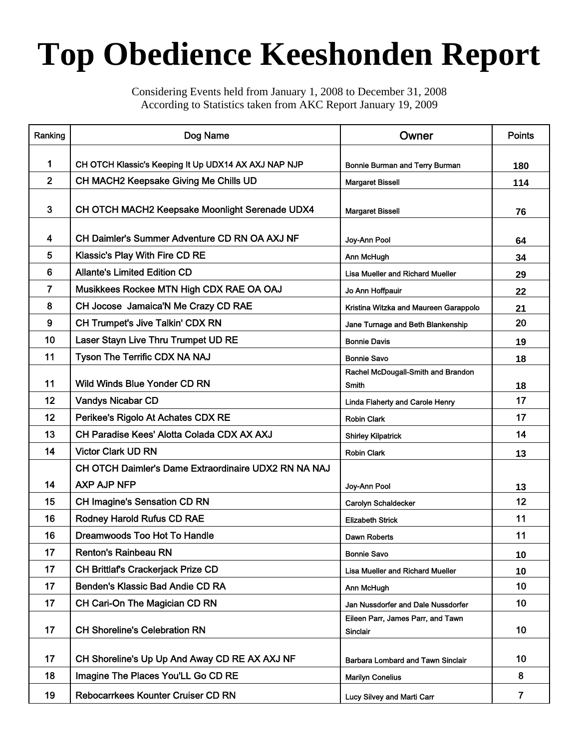## **Top Obedience Keeshonden Report**

Considering Events held from January 1, 2008 to December 31, 2008 According to Statistics taken from AKC Report January 19, 2009

| Ranking        | Dog Name                                             | Owner                                         | <b>Points</b>  |
|----------------|------------------------------------------------------|-----------------------------------------------|----------------|
| 1              | CH OTCH Klassic's Keeping It Up UDX14 AX AXJ NAP NJP | Bonnie Burman and Terry Burman                | 180            |
| $\overline{2}$ | CH MACH2 Keepsake Giving Me Chills UD                | <b>Margaret Bissell</b>                       | 114            |
|                |                                                      |                                               |                |
| 3              | CH OTCH MACH2 Keepsake Moonlight Serenade UDX4       | <b>Margaret Bissell</b>                       | 76             |
| 4              | CH Daimler's Summer Adventure CD RN OA AXJ NF        | Joy-Ann Pool                                  | 64             |
| 5              | <b>Klassic's Play With Fire CD RE</b>                | Ann McHugh                                    | 34             |
| 6              | <b>Allante's Limited Edition CD</b>                  | <b>Lisa Mueller and Richard Mueller</b>       | 29             |
| $\overline{7}$ | Musikkees Rockee MTN High CDX RAE OA OAJ             | Jo Ann Hoffpauir                              | 22             |
| 8              | CH Jocose Jamaica'N Me Crazy CD RAE                  | Kristina Witzka and Maureen Garappolo         | 21             |
| 9              | CH Trumpet's Jive Talkin' CDX RN                     | Jane Turnage and Beth Blankenship             | 20             |
| 10             | Laser Stayn Live Thru Trumpet UD RE                  | <b>Bonnie Davis</b>                           | 19             |
| 11             | Tyson The Terrific CDX NA NAJ                        | <b>Bonnie Savo</b>                            | 18             |
|                |                                                      | Rachel McDougall-Smith and Brandon            |                |
| 11             | <b>Wild Winds Blue Yonder CD RN</b>                  | Smith                                         | 18             |
| 12             | <b>Vandys Nicabar CD</b>                             | Linda Flaherty and Carole Henry               | 17             |
| 12             | Perikee's Rigolo At Achates CDX RE                   | <b>Robin Clark</b>                            | 17             |
| 13             | CH Paradise Kees' Alotta Colada CDX AX AXJ           | <b>Shirley Kilpatrick</b>                     | 14             |
| 14             | <b>Victor Clark UD RN</b>                            | <b>Robin Clark</b>                            | 13             |
|                | CH OTCH Daimler's Dame Extraordinaire UDX2 RN NA NAJ |                                               |                |
| 14             | <b>AXP AJP NFP</b>                                   | Joy-Ann Pool                                  | 13             |
| 15             | <b>CH Imagine's Sensation CD RN</b>                  | Carolyn Schaldecker                           | 12             |
| 16             | <b>Rodney Harold Rufus CD RAE</b>                    | <b>Elizabeth Strick</b>                       | 11             |
| 16             | Dreamwoods Too Hot To Handle                         | Dawn Roberts                                  | 11             |
| 17             | <b>Renton's Rainbeau RN</b>                          | <b>Bonnie Savo</b>                            | 10             |
| 17             | CH Brittlaf's Crackerjack Prize CD                   | <b>Lisa Mueller and Richard Mueller</b>       | 10             |
| 17             | Benden's Klassic Bad Andie CD RA                     | Ann McHugh                                    | 10             |
| 17             | CH Cari-On The Magician CD RN                        | Jan Nussdorfer and Dale Nussdorfer            | 10             |
| 17             | <b>CH Shoreline's Celebration RN</b>                 | Eileen Parr, James Parr, and Tawn<br>Sinclair | 10             |
| 17             | CH Shoreline's Up Up And Away CD RE AX AXJ NF        | <b>Barbara Lombard and Tawn Sinclair</b>      | 10             |
| 18             | Imagine The Places You'LL Go CD RE                   | <b>Marilyn Conelius</b>                       | 8              |
| 19             | <b>Rebocarrkees Kounter Cruiser CD RN</b>            | Lucy Silvey and Marti Carr                    | $\overline{7}$ |